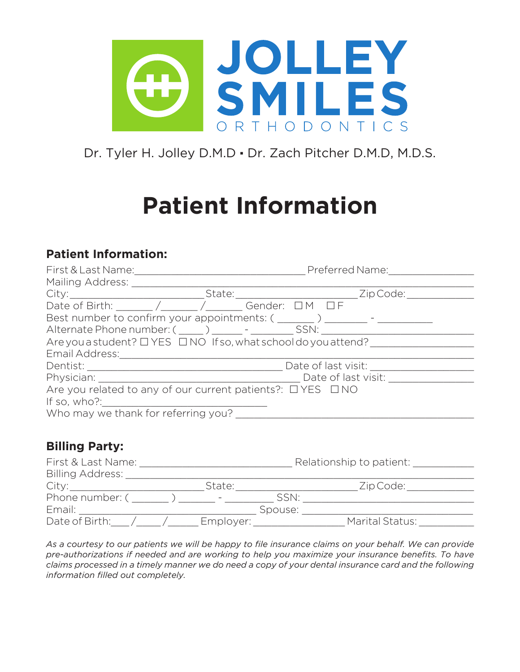

Dr. Tyler H. Jolley D.M.D · Dr. Zach Pitcher D.M.D, M.D.S.

# **Patient Information**

### **Patient Information:**

|                                                                                                |  | Preferred Name: |  |
|------------------------------------------------------------------------------------------------|--|-----------------|--|
| Mailing Address:                                                                               |  |                 |  |
| City: _________________________________State: _________________________________Zip Code: _____ |  |                 |  |
| Date of Birth: ______ /______ /______ Gender: DM DF                                            |  |                 |  |
| Best number to confirm your appointments: ( _______ ) _______ - _______                        |  |                 |  |
| Alternate Phone number: ( _____ ) ______ - ________ SSN: _______                               |  |                 |  |
| Are you a student? $\Box$ YES $\Box$ NO If so, what school do you attend?                      |  |                 |  |
| Email Address: Email Address:                                                                  |  |                 |  |
|                                                                                                |  |                 |  |
| Physician: Date of last visit:                                                                 |  |                 |  |
| Are you related to any of our current patients?: $\Box$ YES $\Box$ NO                          |  |                 |  |
| If so, who?:                                                                                   |  |                 |  |
| Who may we thank for referring you?                                                            |  |                 |  |
|                                                                                                |  |                 |  |

## **Billing Party:**

| First & Last Name:      |           |         | Relationship to patient: |
|-------------------------|-----------|---------|--------------------------|
| <b>Billing Address:</b> |           |         |                          |
| City:                   | State:    |         | Zip Code:                |
| Phone number: (         | $\sim$    | SSN:    |                          |
| Email:                  |           | Spouse: |                          |
| Date of Birth:          | Employer: |         | Marital Status:          |

As a courtesy to our patients we will be happy to file insurance claims on your behalf. We can provide *pre-authorizations if needed and are working to help you maximize your insurance benefits. To have claims processed in a timely manner we do need a copy of your dental insurance card and the following information filled out completely.*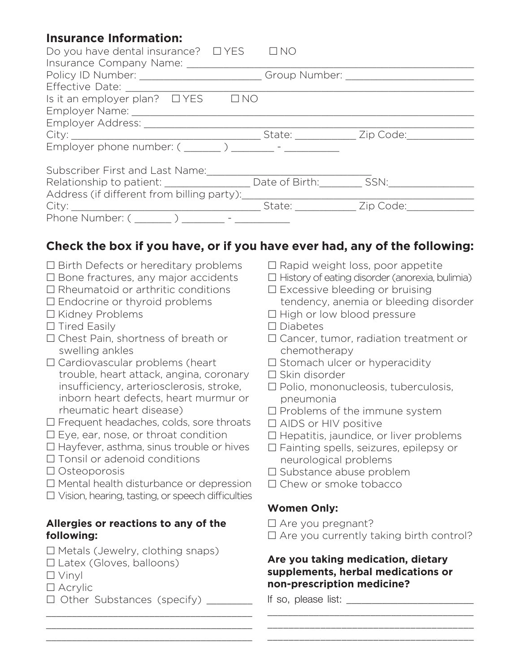## **Insurance Information:**

| Do you have dental insurance? $\Box$ YES                                                |            | $\Box$ NO               |  |
|-----------------------------------------------------------------------------------------|------------|-------------------------|--|
| Insurance Company Name: 1986                                                            |            |                         |  |
| Policy ID Number: _______________________________Group Number: _________________        |            |                         |  |
|                                                                                         |            |                         |  |
| Is it an employer plan? $\Box$ YES                                                      | <b>INO</b> |                         |  |
|                                                                                         |            |                         |  |
|                                                                                         |            |                         |  |
|                                                                                         |            | State: <u>Zip Code:</u> |  |
| Employer phone number: $($ ________ ) ________ -                                        |            |                         |  |
| Subscriber First and Last Name:                                                         |            |                         |  |
| Relationship to patient: ______________________ Date of Birth: __________ SSN:_________ |            |                         |  |
| Address (if different from billing party):                                              |            |                         |  |
|                                                                                         |            | State: Zip Code:        |  |
| Phone Number: ( )                                                                       |            |                         |  |

## **Check the box if you have, or if you have ever had, any of the following:**

- $\square$  Birth Defects or hereditary problems
- $\square$  Bone fractures, any major accidents
- $\square$  Rheumatoid or arthritic conditions
- $\square$  Endocrine or thyroid problems
- □ Kidney Problems
- $\square$  Tired Easily
- □ Chest Pain, shortness of breath or swelling ankles
- $\square$  Cardiovascular problems (heart trouble, heart attack, angina, coronary insufficiency, arteriosclerosis, stroke, inborn heart defects, heart murmur or rheumatic heart disease)
- $\square$  Frequent headaches, colds, sore throats
- $\square$  Eye, ear, nose, or throat condition
- $\square$  Hayfever, asthma, sinus trouble or hives
- □ Tonsil or adenoid conditions
- □ Osteoporosis
- $\square$  Mental health disturbance or depression
- $\square$  Vision, hearing, tasting, or speech difficulties

\_\_\_\_\_\_\_\_\_\_\_\_\_\_\_\_\_\_\_\_\_\_\_\_\_\_\_\_\_\_\_\_\_\_\_\_\_\_\_\_ \_\_\_\_\_\_\_\_\_\_\_\_\_\_\_\_\_\_\_\_\_\_\_\_\_\_\_\_\_\_\_\_\_\_\_\_\_\_\_\_ \_\_\_\_\_\_\_\_\_\_\_\_\_\_\_\_\_\_\_\_\_\_\_\_\_\_\_\_\_\_\_\_\_\_\_\_\_\_\_\_

#### **Allergies or reactions to any of the following:**

- $\square$  Metals (Jewelry, clothing snaps)
- $\square$  Latex (Gloves, balloons)
- $\square$  Vinyl
- □ Acrylic
- □ Other Substances (specify) \_\_\_\_\_\_
- $\square$  Rapid weight loss, poor appetite
- $\square$  History of eating disorder (anorexia, bulimia)
- $\square$  Excessive bleeding or bruising
- tendency, anemia or bleeding disorder
- □ High or low blood pressure
- $\square$  Diabetes
- $\square$  Cancer, tumor, radiation treatment or chemotherapy
- $\square$  Stomach ulcer or hyperacidity
- $\square$  Skin disorder
- £ Polio, mononucleosis, tuberculosis, pneumonia
- $\square$  Problems of the immune system
- $\square$  AIDS or HIV positive
- $\square$  Hepatitis, jaundice, or liver problems
- □ Fainting spells, seizures, epilepsy or neurological problems
- □ Substance abuse problem
- $\Box$  Chew or smoke tobacco

#### **Women Only:**

- $\square$  Are you pregnant?
- $\square$  Are you currently taking birth control?

\_\_\_\_\_\_\_\_\_\_\_\_\_\_\_\_\_\_\_\_\_\_\_\_\_\_\_\_\_\_\_\_\_\_\_\_\_\_\_\_ \_\_\_\_\_\_\_\_\_\_\_\_\_\_\_\_\_\_\_\_\_\_\_\_\_\_\_\_\_\_\_\_\_\_\_\_\_\_\_ \_\_\_\_\_\_\_\_\_\_\_\_\_\_\_\_\_\_\_\_\_\_\_\_\_\_\_\_\_\_\_\_\_\_\_\_\_\_\_

#### **Are you taking medication, dietary supplements, herbal medications or non-prescription medicine?**

If so, please list: